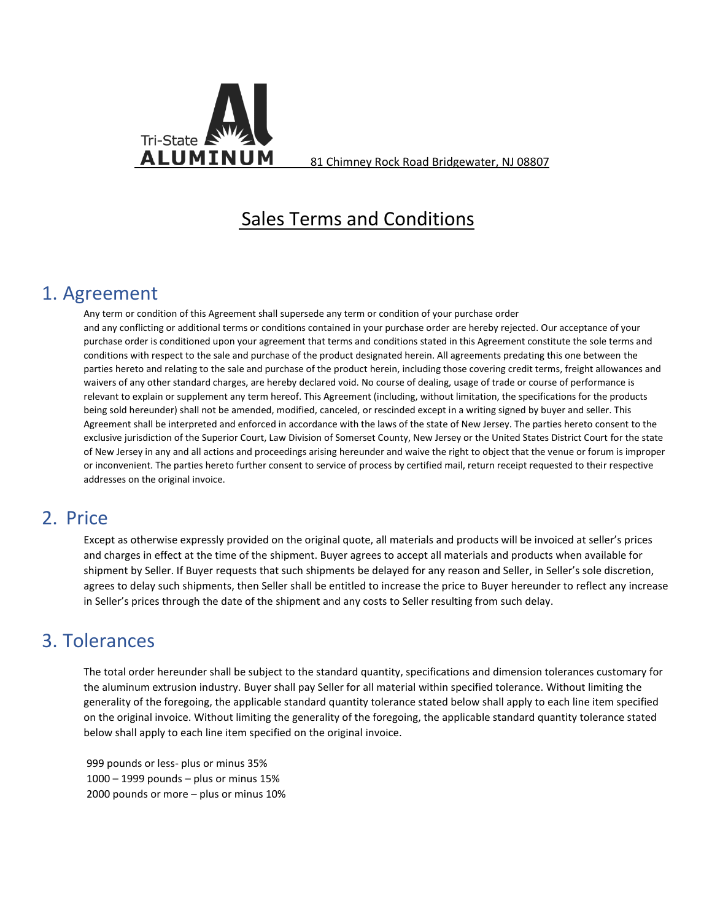

**ALUMINUM** 81 Chimney Rock Road Bridgewater, NJ 08807

# Sales Terms and Conditions

### 1. Agreement

Any term or condition of this Agreement shall supersede any term or condition of your purchase order and any conflicting or additional terms or conditions contained in your purchase order are hereby rejected. Our acceptance of your purchase order is conditioned upon your agreement that terms and conditions stated in this Agreement constitute the sole terms and conditions with respect to the sale and purchase of the product designated herein. All agreements predating this one between the parties hereto and relating to the sale and purchase of the product herein, including those covering credit terms, freight allowances and waivers of any other standard charges, are hereby declared void. No course of dealing, usage of trade or course of performance is relevant to explain or supplement any term hereof. This Agreement (including, without limitation, the specifications for the products being sold hereunder) shall not be amended, modified, canceled, or rescinded except in a writing signed by buyer and seller. This Agreement shall be interpreted and enforced in accordance with the laws of the state of New Jersey. The parties hereto consent to the exclusive jurisdiction of the Superior Court, Law Division of Somerset County, New Jersey or the United States District Court for the state of New Jersey in any and all actions and proceedings arising hereunder and waive the right to object that the venue or forum is improper or inconvenient. The parties hereto further consent to service of process by certified mail, return receipt requested to their respective addresses on the original invoice.

### 2. Price

Except as otherwise expressly provided on the original quote, all materials and products will be invoiced at seller's prices and charges in effect at the time of the shipment. Buyer agrees to accept all materials and products when available for shipment by Seller. If Buyer requests that such shipments be delayed for any reason and Seller, in Seller's sole discretion, agrees to delay such shipments, then Seller shall be entitled to increase the price to Buyer hereunder to reflect any increase in Seller's prices through the date of the shipment and any costs to Seller resulting from such delay.

#### 3. Tolerances

The total order hereunder shall be subject to the standard quantity, specifications and dimension tolerances customary for the aluminum extrusion industry. Buyer shall pay Seller for all material within specified tolerance. Without limiting the generality of the foregoing, the applicable standard quantity tolerance stated below shall apply to each line item specified on the original invoice. Without limiting the generality of the foregoing, the applicable standard quantity tolerance stated below shall apply to each line item specified on the original invoice.

 999 pounds or less- plus or minus 35% 1000 – 1999 pounds – plus or minus 15% 2000 pounds or more – plus or minus 10%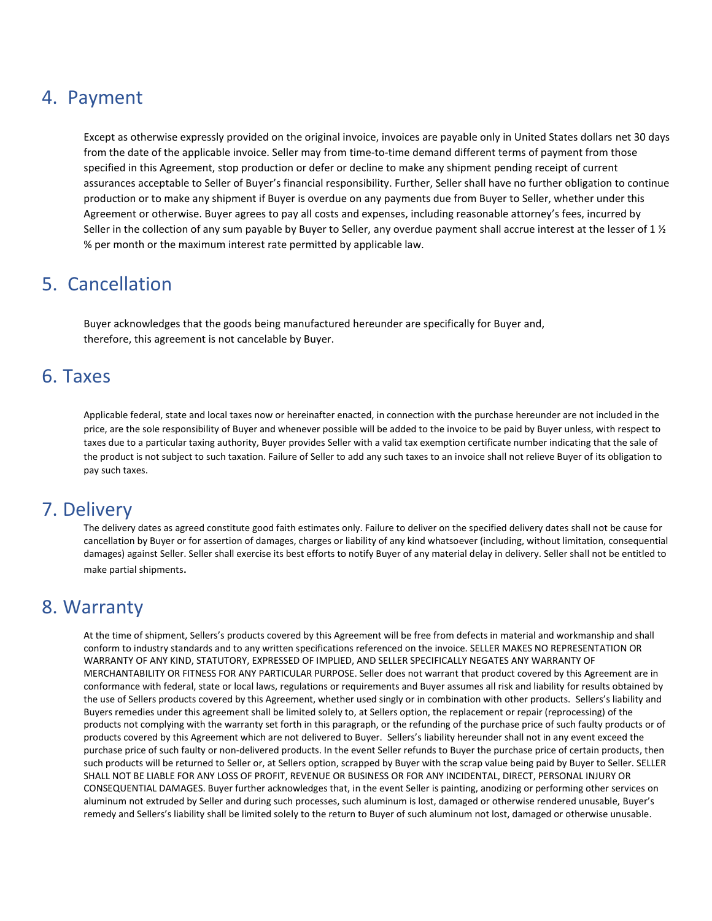### 4. Payment

Except as otherwise expressly provided on the original invoice, invoices are payable only in United States dollars net 30 days from the date of the applicable invoice. Seller may from time-to-time demand different terms of payment from those specified in this Agreement, stop production or defer or decline to make any shipment pending receipt of current assurances acceptable to Seller of Buyer's financial responsibility. Further, Seller shall have no further obligation to continue production or to make any shipment if Buyer is overdue on any payments due from Buyer to Seller, whether under this Agreement or otherwise. Buyer agrees to pay all costs and expenses, including reasonable attorney's fees, incurred by Seller in the collection of any sum payable by Buyer to Seller, any overdue payment shall accrue interest at the lesser of 1  $\frac{1}{2}$ % per month or the maximum interest rate permitted by applicable law.

# 5. Cancellation

Buyer acknowledges that the goods being manufactured hereunder are specifically for Buyer and, therefore, this agreement is not cancelable by Buyer.

#### 6. Taxes

Applicable federal, state and local taxes now or hereinafter enacted, in connection with the purchase hereunder are not included in the price, are the sole responsibility of Buyer and whenever possible will be added to the invoice to be paid by Buyer unless, with respect to taxes due to a particular taxing authority, Buyer provides Seller with a valid tax exemption certificate number indicating that the sale of the product is not subject to such taxation. Failure of Seller to add any such taxes to an invoice shall not relieve Buyer of its obligation to pay such taxes.

#### 7. Delivery

The delivery dates as agreed constitute good faith estimates only. Failure to deliver on the specified delivery dates shall not be cause for cancellation by Buyer or for assertion of damages, charges or liability of any kind whatsoever (including, without limitation, consequential damages) against Seller. Seller shall exercise its best efforts to notify Buyer of any material delay in delivery. Seller shall not be entitled to make partial shipments.

#### 8. Warranty

At the time of shipment, Sellers's products covered by this Agreement will be free from defects in material and workmanship and shall conform to industry standards and to any written specifications referenced on the invoice. SELLER MAKES NO REPRESENTATION OR WARRANTY OF ANY KIND, STATUTORY, EXPRESSED OF IMPLIED, AND SELLER SPECIFICALLY NEGATES ANY WARRANTY OF MERCHANTABILITY OR FITNESS FOR ANY PARTICULAR PURPOSE. Seller does not warrant that product covered by this Agreement are in conformance with federal, state or local laws, regulations or requirements and Buyer assumes all risk and liability for results obtained by the use of Sellers products covered by this Agreement, whether used singly or in combination with other products. Sellers's liability and Buyers remedies under this agreement shall be limited solely to, at Sellers option, the replacement or repair (reprocessing) of the products not complying with the warranty set forth in this paragraph, or the refunding of the purchase price of such faulty products or of products covered by this Agreement which are not delivered to Buyer. Sellers's liability hereunder shall not in any event exceed the purchase price of such faulty or non-delivered products. In the event Seller refunds to Buyer the purchase price of certain products, then such products will be returned to Seller or, at Sellers option, scrapped by Buyer with the scrap value being paid by Buyer to Seller. SELLER SHALL NOT BE LIABLE FOR ANY LOSS OF PROFIT, REVENUE OR BUSINESS OR FOR ANY INCIDENTAL, DIRECT, PERSONAL INJURY OR CONSEQUENTIAL DAMAGES. Buyer further acknowledges that, in the event Seller is painting, anodizing or performing other services on aluminum not extruded by Seller and during such processes, such aluminum is lost, damaged or otherwise rendered unusable, Buyer's remedy and Sellers's liability shall be limited solely to the return to Buyer of such aluminum not lost, damaged or otherwise unusable.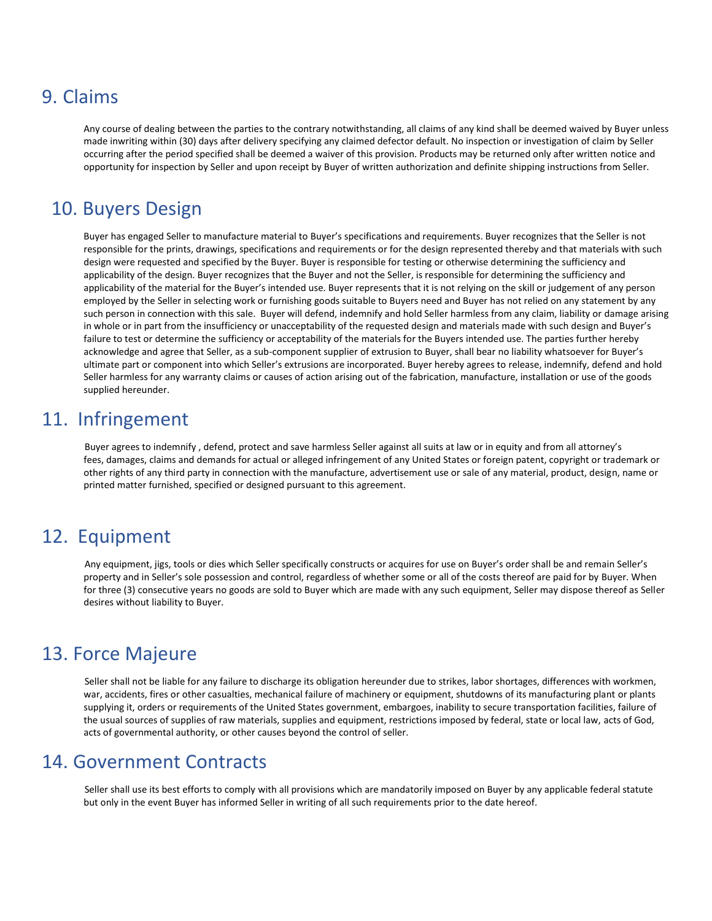# 9. Claims

Any course of dealing between the parties to the contrary notwithstanding, all claims of any kind shall be deemed waived by Buyer unless made inwriting within (30) days after delivery specifying any claimed defector default. No inspection or investigation of claim by Seller occurring after the period specified shall be deemed a waiver of this provision. Products may be returned only after written notice and opportunity for inspection by Seller and upon receipt by Buyer of written authorization and definite shipping instructions from Seller.

# 10. Buyers Design

Buyer has engaged Seller to manufacture material to Buyer's specifications and requirements. Buyer recognizes that the Seller is not responsible for the prints, drawings, specifications and requirements or for the design represented thereby and that materials with such design were requested and specified by the Buyer. Buyer is responsible for testing or otherwise determining the sufficiency and applicability of the design. Buyer recognizes that the Buyer and not the Seller, is responsible for determining the sufficiency and applicability of the material for the Buyer's intended use. Buyer represents that it is not relying on the skill or judgement of any person employed by the Seller in selecting work or furnishing goods suitable to Buyers need and Buyer has not relied on any statement by any such person in connection with this sale. Buyer will defend, indemnify and hold Seller harmless from any claim, liability or damage arising in whole or in part from the insufficiency or unacceptability of the requested design and materials made with such design and Buyer's failure to test or determine the sufficiency or acceptability of the materials for the Buyers intended use. The parties further hereby acknowledge and agree that Seller, as a sub-component supplier of extrusion to Buyer, shall bear no liability whatsoever for Buyer's ultimate part or component into which Seller's extrusions are incorporated. Buyer hereby agrees to release, indemnify, defend and hold Seller harmless for any warranty claims or causes of action arising out of the fabrication, manufacture, installation or use of the goods supplied hereunder.

### 11. Infringement

Buyer agrees to indemnify , defend, protect and save harmless Seller against all suits at law or in equity and from all attorney's fees, damages, claims and demands for actual or alleged infringement of any United States or foreign patent, copyright or trademark or other rights of any third party in connection with the manufacture, advertisement use or sale of any material, product, design, name or printed matter furnished, specified or designed pursuant to this agreement.

### 12. Equipment

Any equipment, jigs, tools or dies which Seller specifically constructs or acquires for use on Buyer's order shall be and remain Seller's property and in Seller's sole possession and control, regardless of whether some or all of the costs thereof are paid for by Buyer. When for three (3) consecutive years no goods are sold to Buyer which are made with any such equipment, Seller may dispose thereof as Seller desires without liability to Buyer.

# 13. Force Majeure

Seller shall not be liable for any failure to discharge its obligation hereunder due to strikes, labor shortages, differences with workmen, war, accidents, fires or other casualties, mechanical failure of machinery or equipment, shutdowns of its manufacturing plant or plants supplying it, orders or requirements of the United States government, embargoes, inability to secure transportation facilities, failure of the usual sources of supplies of raw materials, supplies and equipment, restrictions imposed by federal, state or local law, acts of God, acts of governmental authority, or other causes beyond the control of seller.

#### 14. Government Contracts

Seller shall use its best efforts to comply with all provisions which are mandatorily imposed on Buyer by any applicable federal statute but only in the event Buyer has informed Seller in writing of all such requirements prior to the date hereof.